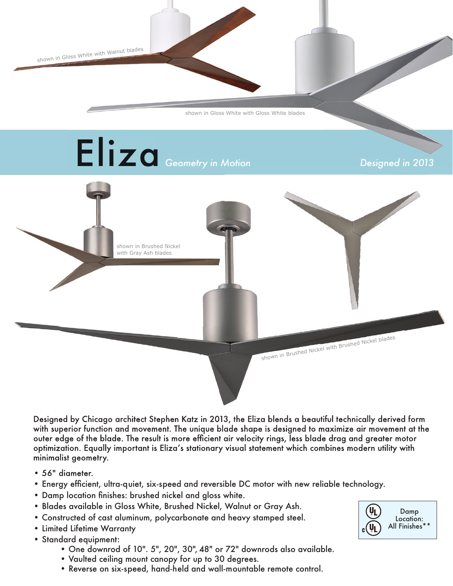shown in Gloss White with Walnut blades

shown in Gloss White with Gloss White blades



Designed by Chicago architect Stephen Katz in 2013, the Eliza blends a beautiful technically derived form with superior function and movement. The unique blade shape is designed to maximize air movement at the outer edge of the blade. The result is more efficient air velocity rings, less blade drag and greater motor optimization. Equally important is Eliza's stationary visual statement which combines modern utility with minimalist geometry.

- 56" diameter.
- Energy efficient, ultra-quiet, six-speed and reversible DC motor with new reliable technology.
- Damp location finishes: brushed nickel and gloss white.
- Blades available in Gloss White, Brushed Nickel, Walnut or Gray Ash.
- Constructed of cast aluminum, polycarbonate and heavy stamped steel.
- Limited Lifetime Warranty
- Standard equipment:
	- One downrod of 10". 5", 20", 30", 48" or 72" downrods also available.
	- Vaulted ceiling mount canopy for up to 30 degrees.
	- Reverse on six-speed, hand-held and wall-mountable remote control.